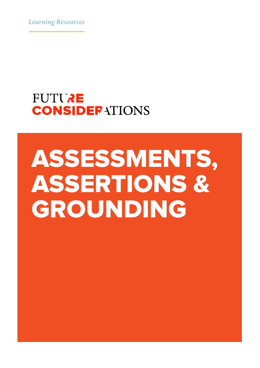*Learning Resources*

## **FUTURE CONSIDERATIONS**

# ASSESSMENTS, ASSERTIONS & GROUNDING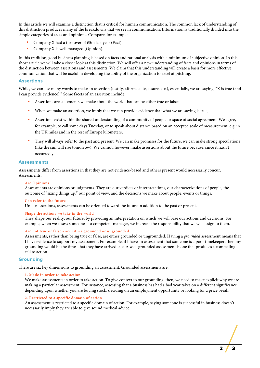In this article we will examine a distinction that is critical for human communication. The common lack of understanding of this distinction produces many of the breakdowns that we see in communication. Information is traditionally divided into the simple categories of facts and opinions. Compare, for example:

- Company X had a turnover of  $£5m$  last year (Fact);
- Company X is well managed (Opinion).

In this tradition, good business planning is based on facts and rational analysis with a minimum of subjective opinion. In this short article we will take a closer look at this distinction. We will offer a new understanding of facts and opinions in terms of the distinction between assertions and assessments. We claim that this understanding will create a basis for more effective communication that will be useful in developing the ability of the organization to excel at pitching.

#### **Assertions**

While, we can use many words to make an assertion (testify, affirm, state, assure, etc.), essentially, we are saying: "X is true (and I can provide evidence)." Some facets of an assertion include:

- Assertions are statements we make about the world that can be either true or false;
- When we make an assertion, we imply that we can provide evidence that what we are saying is true;
- Assertions exist within the shared understanding of a community of people or space of social agreement. We agree, for example, to call some days Tuesday, or to speak about distance based on an accepted scale of measurement, e.g. in the UK miles and in the rest of Europe kilometers;
- They will always refer to the past and present. We can make promises for the future; we can make strong speculations (like the sun will rise tomorrow). We cannot, however, make assertions about the future because, since it hasn't occurred yet.

#### **Assessments**

Assessments differ from assertions in that they are not evidence-based and others present would necessarily concur. Assessments:

#### **Are Opinions**

Assessments are opinions or judgments. They are our verdicts or interpretations, our characterizations of people, the outcome of "sizing things up," our point of view, and the decisions we make about people, events or things.

#### **Can refer to the future**

Unlike assertions, assessments can be oriented toward the future in addition to the past or present.

#### **Shape the actions we take in the world**

They shape our reality, our future, by providing an interpretation on which we will base our actions and decisions. For example, when we assess someone as a competent manager, we increase the responsibility that we will assign to them.

#### **Are not true or false - are either grounded or ungrounded**

Assessments, rather than being true or false, are either grounded or ungrounded. Having a *grounded* assessment means that I have evidence to support my assessment. For example, if I have an assessment that someone is a poor timekeeper, then my grounding would be the times that they have arrived late. A well-grounded assessment is one that produces a compelling call to action.

#### **Grounding**

There are six key dimensions to grounding an assessment. Grounded assessments are:

#### **1. Made in order to take action**

We make assessments in order to take action. To give context to our grounding, then, we need to make explicit why we are making a particular assessment. For instance, assessing that a business has had a bad year takes on a different significance depending upon whether you are buying stock, deciding on an employment opportunity or looking for a price break.

#### **2. Restricted to a specific domain of action**

An assessment is restricted to a specific domain of action. For example, saying someone is successful in business doesn't necessarily imply they are able to give sound medical advice.